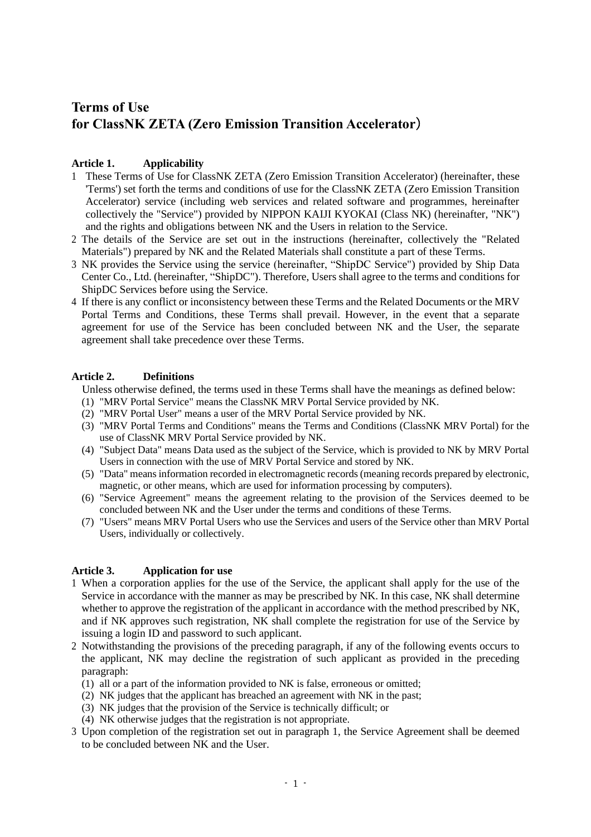# **Terms of Use for ClassNK ZETA (Zero Emission Transition Accelerator**)

# **Article 1. Applicability**

- 1 These Terms of Use for ClassNK ZETA (Zero Emission Transition Accelerator) (hereinafter, these 'Terms') set forth the terms and conditions of use for the ClassNK ZETA (Zero Emission Transition Accelerator) service (including web services and related software and programmes, hereinafter collectively the "Service") provided by NIPPON KAIJI KYOKAI (Class NK) (hereinafter, "NK") and the rights and obligations between NK and the Users in relation to the Service.
- 2 The details of the Service are set out in the instructions (hereinafter, collectively the "Related Materials") prepared by NK and the Related Materials shall constitute a part of these Terms.
- 3 NK provides the Service using the service (hereinafter, "ShipDC Service") provided by Ship Data Center Co., Ltd. (hereinafter, "ShipDC"). Therefore, Users shall agree to the terms and conditions for ShipDC Services before using the Service.
- 4 If there is any conflict or inconsistency between these Terms and the Related Documents or the MRV Portal Terms and Conditions, these Terms shall prevail. However, in the event that a separate agreement for use of the Service has been concluded between NK and the User, the separate agreement shall take precedence over these Terms.

# **Article 2. Definitions**

Unless otherwise defined, the terms used in these Terms shall have the meanings as defined below:

- (1) "MRV Portal Service" means the ClassNK MRV Portal Service provided by NK.
- (2) "MRV Portal User" means a user of the MRV Portal Service provided by NK.
- (3) "MRV Portal Terms and Conditions" means the Terms and Conditions (ClassNK MRV Portal) for the use of ClassNK MRV Portal Service provided by NK.
- (4) "Subject Data" means Data used as the subject of the Service, which is provided to NK by MRV Portal Users in connection with the use of MRV Portal Service and stored by NK.
- (5) "Data" means information recorded in electromagnetic records (meaning records prepared by electronic, magnetic, or other means, which are used for information processing by computers).
- (6) "Service Agreement" means the agreement relating to the provision of the Services deemed to be concluded between NK and the User under the terms and conditions of these Terms.
- (7) "Users" means MRV Portal Users who use the Services and users of the Service other than MRV Portal Users, individually or collectively.

# **Article 3. Application for use**

- 1 When a corporation applies for the use of the Service, the applicant shall apply for the use of the Service in accordance with the manner as may be prescribed by NK. In this case, NK shall determine whether to approve the registration of the applicant in accordance with the method prescribed by NK, and if NK approves such registration, NK shall complete the registration for use of the Service by issuing a login ID and password to such applicant.
- 2 Notwithstanding the provisions of the preceding paragraph, if any of the following events occurs to the applicant, NK may decline the registration of such applicant as provided in the preceding paragraph:
	- (1) all or a part of the information provided to NK is false, erroneous or omitted;
	- (2) NK judges that the applicant has breached an agreement with NK in the past;
	- (3) NK judges that the provision of the Service is technically difficult; or
	- (4) NK otherwise judges that the registration is not appropriate.
- 3 Upon completion of the registration set out in paragraph 1, the Service Agreement shall be deemed to be concluded between NK and the User.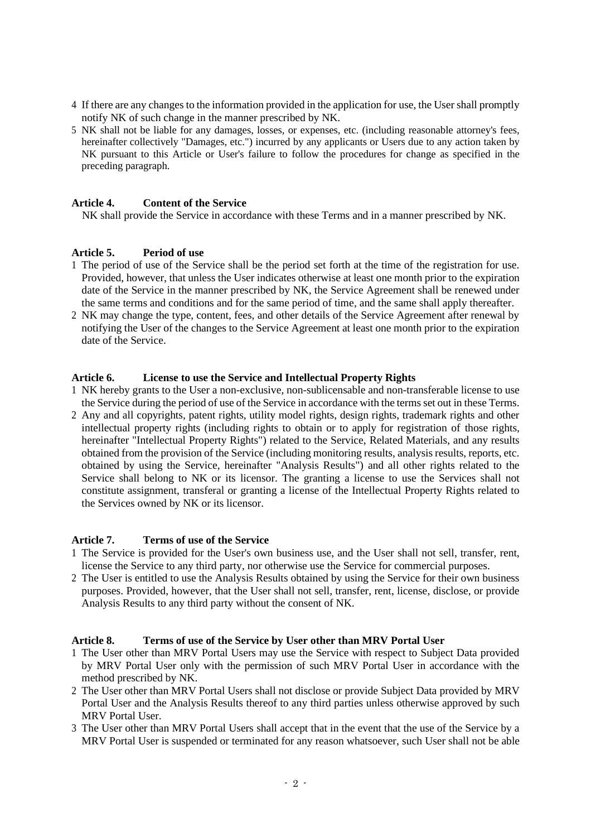- 4 If there are any changes to the information provided in the application for use, the User shall promptly notify NK of such change in the manner prescribed by NK.
- 5 NK shall not be liable for any damages, losses, or expenses, etc. (including reasonable attorney's fees, hereinafter collectively "Damages, etc.") incurred by any applicants or Users due to any action taken by NK pursuant to this Article or User's failure to follow the procedures for change as specified in the preceding paragraph.

## **Article 4. Content of the Service**

NK shall provide the Service in accordance with these Terms and in a manner prescribed by NK.

#### **Article 5. Period of use**

- 1 The period of use of the Service shall be the period set forth at the time of the registration for use. Provided, however, that unless the User indicates otherwise at least one month prior to the expiration date of the Service in the manner prescribed by NK, the Service Agreement shall be renewed under the same terms and conditions and for the same period of time, and the same shall apply thereafter.
- 2 NK may change the type, content, fees, and other details of the Service Agreement after renewal by notifying the User of the changes to the Service Agreement at least one month prior to the expiration date of the Service.

## **Article 6. License to use the Service and Intellectual Property Rights**

- 1 NK hereby grants to the User a non-exclusive, non-sublicensable and non-transferable license to use the Service during the period of use of the Service in accordance with the terms set out in these Terms.
- 2 Any and all copyrights, patent rights, utility model rights, design rights, trademark rights and other intellectual property rights (including rights to obtain or to apply for registration of those rights, hereinafter "Intellectual Property Rights") related to the Service, Related Materials, and any results obtained from the provision of the Service (including monitoring results, analysis results, reports, etc. obtained by using the Service, hereinafter "Analysis Results") and all other rights related to the Service shall belong to NK or its licensor. The granting a license to use the Services shall not constitute assignment, transferal or granting a license of the Intellectual Property Rights related to the Services owned by NK or its licensor.

#### **Article 7. Terms of use of the Service**

- 1 The Service is provided for the User's own business use, and the User shall not sell, transfer, rent, license the Service to any third party, nor otherwise use the Service for commercial purposes.
- 2 The User is entitled to use the Analysis Results obtained by using the Service for their own business purposes. Provided, however, that the User shall not sell, transfer, rent, license, disclose, or provide Analysis Results to any third party without the consent of NK.

#### **Article 8. Terms of use of the Service by User other than MRV Portal User**

- 1 The User other than MRV Portal Users may use the Service with respect to Subject Data provided by MRV Portal User only with the permission of such MRV Portal User in accordance with the method prescribed by NK.
- 2 The User other than MRV Portal Users shall not disclose or provide Subject Data provided by MRV Portal User and the Analysis Results thereof to any third parties unless otherwise approved by such MRV Portal User.
- 3 The User other than MRV Portal Users shall accept that in the event that the use of the Service by a MRV Portal User is suspended or terminated for any reason whatsoever, such User shall not be able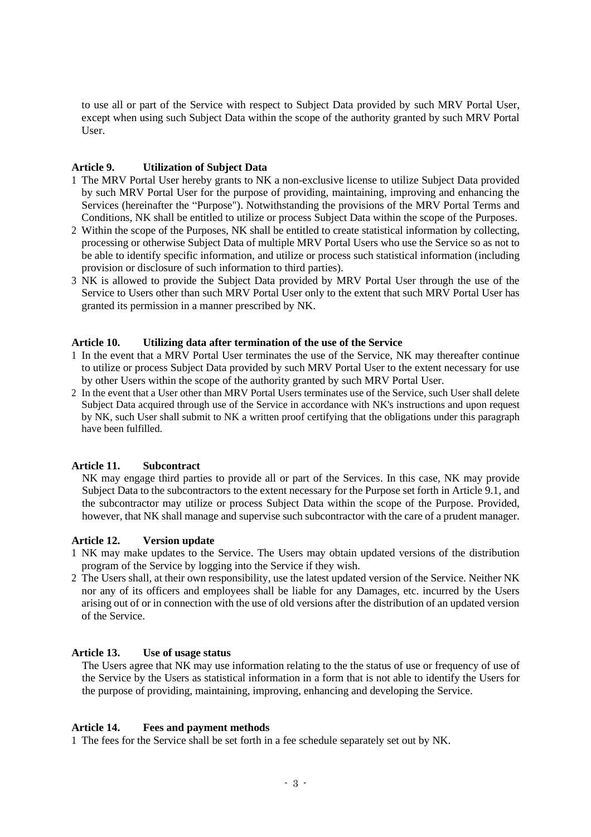to use all or part of the Service with respect to Subject Data provided by such MRV Portal User, except when using such Subject Data within the scope of the authority granted by such MRV Portal User.

## **Article 9. Utilization of Subject Data**

- 1 The MRV Portal User hereby grants to NK a non-exclusive license to utilize Subject Data provided by such MRV Portal User for the purpose of providing, maintaining, improving and enhancing the Services (hereinafter the "Purpose"). Notwithstanding the provisions of the MRV Portal Terms and Conditions, NK shall be entitled to utilize or process Subject Data within the scope of the Purposes.
- 2 Within the scope of the Purposes, NK shall be entitled to create statistical information by collecting, processing or otherwise Subject Data of multiple MRV Portal Users who use the Service so as not to be able to identify specific information, and utilize or process such statistical information (including provision or disclosure of such information to third parties).
- 3 NK is allowed to provide the Subject Data provided by MRV Portal User through the use of the Service to Users other than such MRV Portal User only to the extent that such MRV Portal User has granted its permission in a manner prescribed by NK.

## **Article 10. Utilizing data after termination of the use of the Service**

- 1 In the event that a MRV Portal User terminates the use of the Service, NK may thereafter continue to utilize or process Subject Data provided by such MRV Portal User to the extent necessary for use by other Users within the scope of the authority granted by such MRV Portal User.
- 2 In the event that a User other than MRV Portal Users terminates use of the Service, such User shall delete Subject Data acquired through use of the Service in accordance with NK's instructions and upon request by NK, such User shall submit to NK a written proof certifying that the obligations under this paragraph have been fulfilled.

# **Article 11. Subcontract**

NK may engage third parties to provide all or part of the Services. In this case, NK may provide Subject Data to the subcontractors to the extent necessary for the Purpose set forth in Article 9.1, and the subcontractor may utilize or process Subject Data within the scope of the Purpose. Provided, however, that NK shall manage and supervise such subcontractor with the care of a prudent manager.

#### **Article 12. Version update**

- 1 NK may make updates to the Service. The Users may obtain updated versions of the distribution program of the Service by logging into the Service if they wish.
- 2 The Users shall, at their own responsibility, use the latest updated version of the Service. Neither NK nor any of its officers and employees shall be liable for any Damages, etc. incurred by the Users arising out of or in connection with the use of old versions after the distribution of an updated version of the Service.

# **Article 13. Use of usage status**

The Users agree that NK may use information relating to the the status of use or frequency of use of the Service by the Users as statistical information in a form that is not able to identify the Users for the purpose of providing, maintaining, improving, enhancing and developing the Service.

#### **Article 14. Fees and payment methods**

1 The fees for the Service shall be set forth in a fee schedule separately set out by NK.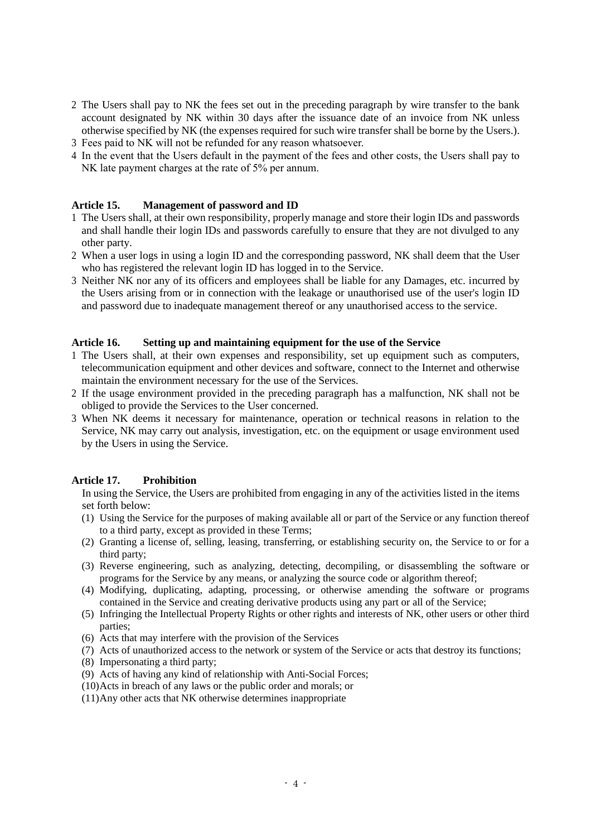- 2 The Users shall pay to NK the fees set out in the preceding paragraph by wire transfer to the bank account designated by NK within 30 days after the issuance date of an invoice from NK unless otherwise specified by NK (the expenses required for such wire transfer shall be borne by the Users.).
- 3 Fees paid to NK will not be refunded for any reason whatsoever.
- 4 In the event that the Users default in the payment of the fees and other costs, the Users shall pay to NK late payment charges at the rate of 5% per annum.

#### **Article 15. Management of password and ID**

- 1 The Users shall, at their own responsibility, properly manage and store their login IDs and passwords and shall handle their login IDs and passwords carefully to ensure that they are not divulged to any other party.
- 2 When a user logs in using a login ID and the corresponding password, NK shall deem that the User who has registered the relevant login ID has logged in to the Service.
- 3 Neither NK nor any of its officers and employees shall be liable for any Damages, etc. incurred by the Users arising from or in connection with the leakage or unauthorised use of the user's login ID and password due to inadequate management thereof or any unauthorised access to the service.

#### **Article 16. Setting up and maintaining equipment for the use of the Service**

- 1 The Users shall, at their own expenses and responsibility, set up equipment such as computers, telecommunication equipment and other devices and software, connect to the Internet and otherwise maintain the environment necessary for the use of the Services.
- 2 If the usage environment provided in the preceding paragraph has a malfunction, NK shall not be obliged to provide the Services to the User concerned.
- 3 When NK deems it necessary for maintenance, operation or technical reasons in relation to the Service, NK may carry out analysis, investigation, etc. on the equipment or usage environment used by the Users in using the Service.

#### **Article 17. Prohibition**

In using the Service, the Users are prohibited from engaging in any of the activities listed in the items set forth below:

- (1) Using the Service for the purposes of making available all or part of the Service or any function thereof to a third party, except as provided in these Terms;
- (2) Granting a license of, selling, leasing, transferring, or establishing security on, the Service to or for a third party;
- (3) Reverse engineering, such as analyzing, detecting, decompiling, or disassembling the software or programs for the Service by any means, or analyzing the source code or algorithm thereof;
- (4) Modifying, duplicating, adapting, processing, or otherwise amending the software or programs contained in the Service and creating derivative products using any part or all of the Service;
- (5) Infringing the Intellectual Property Rights or other rights and interests of NK, other users or other third parties;
- (6) Acts that may interfere with the provision of the Services
- (7) Acts of unauthorized access to the network or system of the Service or acts that destroy its functions;
- (8) Impersonating a third party;
- (9) Acts of having any kind of relationship with Anti-Social Forces;
- (10)Acts in breach of any laws or the public order and morals; or
- (11)Any other acts that NK otherwise determines inappropriate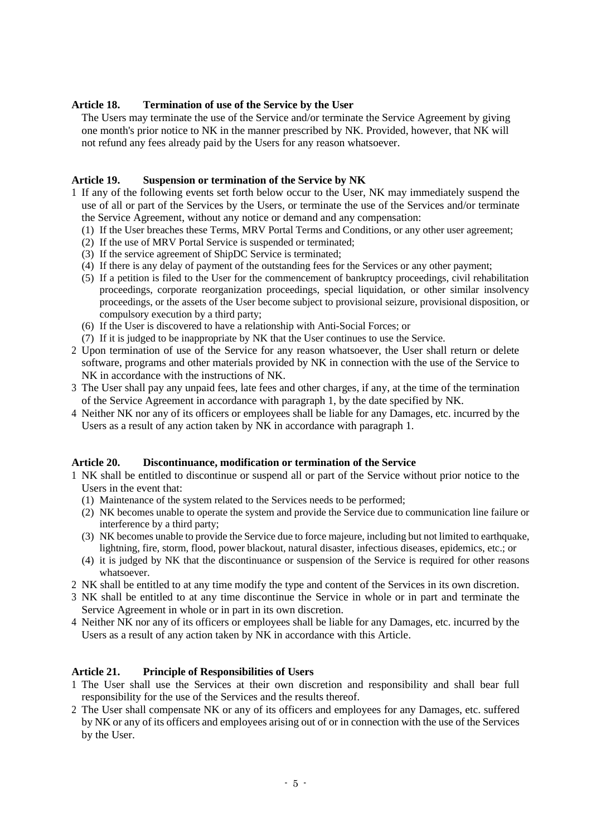## **Article 18. Termination of use of the Service by the User**

The Users may terminate the use of the Service and/or terminate the Service Agreement by giving one month's prior notice to NK in the manner prescribed by NK. Provided, however, that NK will not refund any fees already paid by the Users for any reason whatsoever.

# **Article 19. Suspension or termination of the Service by NK**

- 1 If any of the following events set forth below occur to the User, NK may immediately suspend the use of all or part of the Services by the Users, or terminate the use of the Services and/or terminate the Service Agreement, without any notice or demand and any compensation:
	- (1) If the User breaches these Terms, MRV Portal Terms and Conditions, or any other user agreement;
	- (2) If the use of MRV Portal Service is suspended or terminated;
	- (3) If the service agreement of ShipDC Service is terminated;
	- (4) If there is any delay of payment of the outstanding fees for the Services or any other payment;
	- (5) If a petition is filed to the User for the commencement of bankruptcy proceedings, civil rehabilitation proceedings, corporate reorganization proceedings, special liquidation, or other similar insolvency proceedings, or the assets of the User become subject to provisional seizure, provisional disposition, or compulsory execution by a third party;
	- (6) If the User is discovered to have a relationship with Anti-Social Forces; or
	- (7) If it is judged to be inappropriate by NK that the User continues to use the Service.
- 2 Upon termination of use of the Service for any reason whatsoever, the User shall return or delete software, programs and other materials provided by NK in connection with the use of the Service to NK in accordance with the instructions of NK.
- 3 The User shall pay any unpaid fees, late fees and other charges, if any, at the time of the termination of the Service Agreement in accordance with paragraph 1, by the date specified by NK.
- 4 Neither NK nor any of its officers or employees shall be liable for any Damages, etc. incurred by the Users as a result of any action taken by NK in accordance with paragraph 1.

#### **Article 20. Discontinuance, modification or termination of the Service**

- 1 NK shall be entitled to discontinue or suspend all or part of the Service without prior notice to the Users in the event that:
	- (1) Maintenance of the system related to the Services needs to be performed;
	- (2) NK becomes unable to operate the system and provide the Service due to communication line failure or interference by a third party;
	- (3) NK becomes unable to provide the Service due to force majeure, including but not limited to earthquake, lightning, fire, storm, flood, power blackout, natural disaster, infectious diseases, epidemics, etc.; or
	- (4) it is judged by NK that the discontinuance or suspension of the Service is required for other reasons whatsoever.
- 2 NK shall be entitled to at any time modify the type and content of the Services in its own discretion.
- 3 NK shall be entitled to at any time discontinue the Service in whole or in part and terminate the Service Agreement in whole or in part in its own discretion.
- 4 Neither NK nor any of its officers or employees shall be liable for any Damages, etc. incurred by the Users as a result of any action taken by NK in accordance with this Article.

#### **Article 21. Principle of Responsibilities of Users**

- 1 The User shall use the Services at their own discretion and responsibility and shall bear full responsibility for the use of the Services and the results thereof.
- 2 The User shall compensate NK or any of its officers and employees for any Damages, etc. suffered by NK or any of its officers and employees arising out of or in connection with the use of the Services by the User.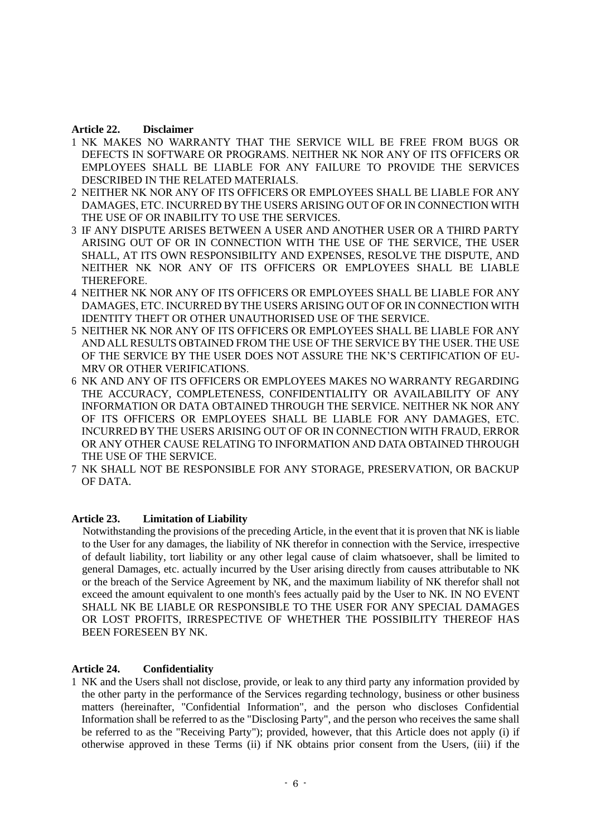## **Article 22. Disclaimer**

- 1 NK MAKES NO WARRANTY THAT THE SERVICE WILL BE FREE FROM BUGS OR DEFECTS IN SOFTWARE OR PROGRAMS. NEITHER NK NOR ANY OF ITS OFFICERS OR EMPLOYEES SHALL BE LIABLE FOR ANY FAILURE TO PROVIDE THE SERVICES DESCRIBED IN THE RELATED MATERIALS.
- 2 NEITHER NK NOR ANY OF ITS OFFICERS OR EMPLOYEES SHALL BE LIABLE FOR ANY DAMAGES, ETC. INCURRED BY THE USERS ARISING OUT OF OR IN CONNECTION WITH THE USE OF OR INABILITY TO USE THE SERVICES.
- 3 IF ANY DISPUTE ARISES BETWEEN A USER AND ANOTHER USER OR A THIRD PARTY ARISING OUT OF OR IN CONNECTION WITH THE USE OF THE SERVICE, THE USER SHALL, AT ITS OWN RESPONSIBILITY AND EXPENSES, RESOLVE THE DISPUTE, AND NEITHER NK NOR ANY OF ITS OFFICERS OR EMPLOYEES SHALL BE LIABLE THEREFORE.
- 4 NEITHER NK NOR ANY OF ITS OFFICERS OR EMPLOYEES SHALL BE LIABLE FOR ANY DAMAGES, ETC. INCURRED BY THE USERS ARISING OUT OF OR IN CONNECTION WITH IDENTITY THEFT OR OTHER UNAUTHORISED USE OF THE SERVICE.
- 5 NEITHER NK NOR ANY OF ITS OFFICERS OR EMPLOYEES SHALL BE LIABLE FOR ANY AND ALL RESULTS OBTAINED FROM THE USE OF THE SERVICE BY THE USER. THE USE OF THE SERVICE BY THE USER DOES NOT ASSURE THE NK'S CERTIFICATION OF EU-MRV OR OTHER VERIFICATIONS.
- 6 NK AND ANY OF ITS OFFICERS OR EMPLOYEES MAKES NO WARRANTY REGARDING THE ACCURACY, COMPLETENESS, CONFIDENTIALITY OR AVAILABILITY OF ANY INFORMATION OR DATA OBTAINED THROUGH THE SERVICE. NEITHER NK NOR ANY OF ITS OFFICERS OR EMPLOYEES SHALL BE LIABLE FOR ANY DAMAGES, ETC. INCURRED BY THE USERS ARISING OUT OF OR IN CONNECTION WITH FRAUD, ERROR OR ANY OTHER CAUSE RELATING TO INFORMATION AND DATA OBTAINED THROUGH THE USE OF THE SERVICE.
- 7 NK SHALL NOT BE RESPONSIBLE FOR ANY STORAGE, PRESERVATION, OR BACKUP OF DATA.

# **Article 23. Limitation of Liability**

Notwithstanding the provisions of the preceding Article, in the event that it is proven that NK is liable to the User for any damages, the liability of NK therefor in connection with the Service, irrespective of default liability, tort liability or any other legal cause of claim whatsoever, shall be limited to general Damages, etc. actually incurred by the User arising directly from causes attributable to NK or the breach of the Service Agreement by NK, and the maximum liability of NK therefor shall not exceed the amount equivalent to one month's fees actually paid by the User to NK. IN NO EVENT SHALL NK BE LIABLE OR RESPONSIBLE TO THE USER FOR ANY SPECIAL DAMAGES OR LOST PROFITS, IRRESPECTIVE OF WHETHER THE POSSIBILITY THEREOF HAS BEEN FORESEEN BY NK.

#### **Article 24. Confidentiality**

1 NK and the Users shall not disclose, provide, or leak to any third party any information provided by the other party in the performance of the Services regarding technology, business or other business matters (hereinafter, "Confidential Information", and the person who discloses Confidential Information shall be referred to as the "Disclosing Party", and the person who receives the same shall be referred to as the "Receiving Party"); provided, however, that this Article does not apply (i) if otherwise approved in these Terms (ii) if NK obtains prior consent from the Users, (iii) if the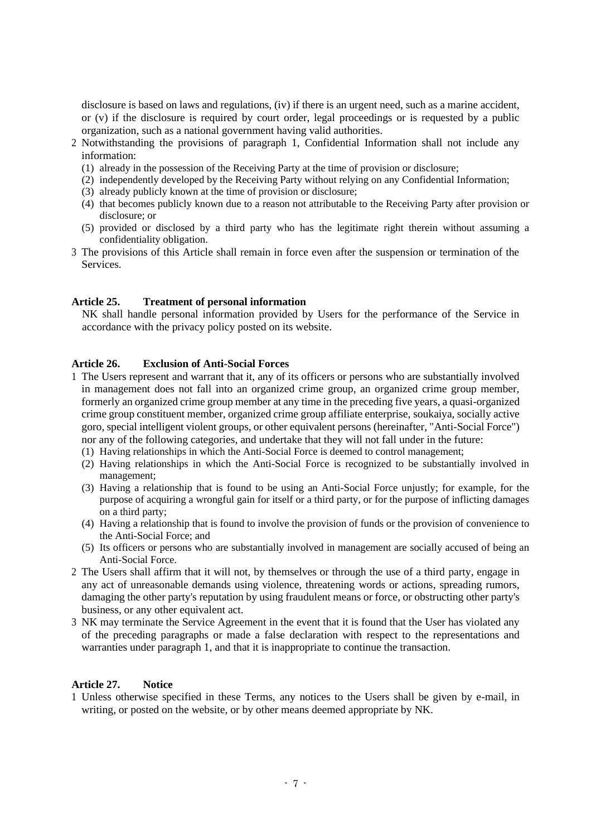disclosure is based on laws and regulations, (iv) if there is an urgent need, such as a marine accident, or (v) if the disclosure is required by court order, legal proceedings or is requested by a public organization, such as a national government having valid authorities.

- 2 Notwithstanding the provisions of paragraph 1, Confidential Information shall not include any information:
	- (1) already in the possession of the Receiving Party at the time of provision or disclosure;
	- (2) independently developed by the Receiving Party without relying on any Confidential Information;
	- (3) already publicly known at the time of provision or disclosure;
	- (4) that becomes publicly known due to a reason not attributable to the Receiving Party after provision or disclosure; or
	- (5) provided or disclosed by a third party who has the legitimate right therein without assuming a confidentiality obligation.
- 3 The provisions of this Article shall remain in force even after the suspension or termination of the Services.

#### **Article 25. Treatment of personal information**

NK shall handle personal information provided by Users for the performance of the Service in accordance with the privacy policy posted on its website.

#### **Article 26. Exclusion of Anti-Social Forces**

- 1 The Users represent and warrant that it, any of its officers or persons who are substantially involved in management does not fall into an organized crime group, an organized crime group member, formerly an organized crime group member at any time in the preceding five years, a quasi-organized crime group constituent member, organized crime group affiliate enterprise, soukaiya, socially active goro, special intelligent violent groups, or other equivalent persons (hereinafter, "Anti-Social Force") nor any of the following categories, and undertake that they will not fall under in the future:
	- (1) Having relationships in which the Anti-Social Force is deemed to control management;
	- (2) Having relationships in which the Anti-Social Force is recognized to be substantially involved in management;
	- (3) Having a relationship that is found to be using an Anti-Social Force unjustly; for example, for the purpose of acquiring a wrongful gain for itself or a third party, or for the purpose of inflicting damages on a third party;
	- (4) Having a relationship that is found to involve the provision of funds or the provision of convenience to the Anti-Social Force; and
	- (5) Its officers or persons who are substantially involved in management are socially accused of being an Anti-Social Force.
- 2 The Users shall affirm that it will not, by themselves or through the use of a third party, engage in any act of unreasonable demands using violence, threatening words or actions, spreading rumors, damaging the other party's reputation by using fraudulent means or force, or obstructing other party's business, or any other equivalent act.
- 3 NK may terminate the Service Agreement in the event that it is found that the User has violated any of the preceding paragraphs or made a false declaration with respect to the representations and warranties under paragraph 1, and that it is inappropriate to continue the transaction.

## **Article 27. Notice**

1 Unless otherwise specified in these Terms, any notices to the Users shall be given by e-mail, in writing, or posted on the website, or by other means deemed appropriate by NK.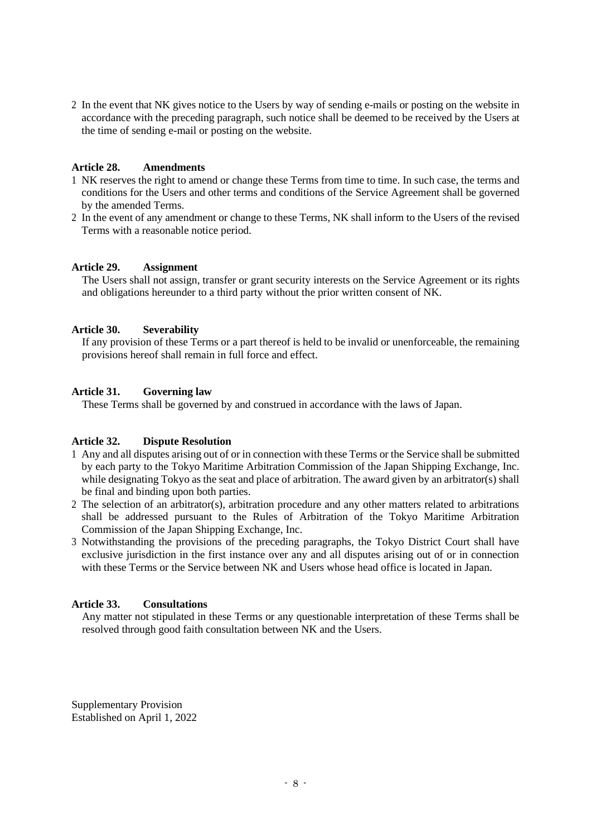2 In the event that NK gives notice to the Users by way of sending e-mails or posting on the website in accordance with the preceding paragraph, such notice shall be deemed to be received by the Users at the time of sending e-mail or posting on the website.

#### **Article 28. Amendments**

- 1 NK reserves the right to amend or change these Terms from time to time. In such case, the terms and conditions for the Users and other terms and conditions of the Service Agreement shall be governed by the amended Terms.
- 2 In the event of any amendment or change to these Terms, NK shall inform to the Users of the revised Terms with a reasonable notice period.

#### **Article 29. Assignment**

The Users shall not assign, transfer or grant security interests on the Service Agreement or its rights and obligations hereunder to a third party without the prior written consent of NK.

#### **Article 30. Severability**

If any provision of these Terms or a part thereof is held to be invalid or unenforceable, the remaining provisions hereof shall remain in full force and effect.

#### **Article 31. Governing law**

These Terms shall be governed by and construed in accordance with the laws of Japan.

#### **Article 32. Dispute Resolution**

- 1 Any and all disputes arising out of or in connection with these Terms or the Service shall be submitted by each party to the Tokyo Maritime Arbitration Commission of the Japan Shipping Exchange, Inc. while designating Tokyo as the seat and place of arbitration. The award given by an arbitrator(s) shall be final and binding upon both parties.
- 2 The selection of an arbitrator(s), arbitration procedure and any other matters related to arbitrations shall be addressed pursuant to the Rules of Arbitration of the Tokyo Maritime Arbitration Commission of the Japan Shipping Exchange, Inc.
- 3 Notwithstanding the provisions of the preceding paragraphs, the Tokyo District Court shall have exclusive jurisdiction in the first instance over any and all disputes arising out of or in connection with these Terms or the Service between NK and Users whose head office is located in Japan.

## **Article 33. Consultations**

Any matter not stipulated in these Terms or any questionable interpretation of these Terms shall be resolved through good faith consultation between NK and the Users.

Supplementary Provision Established on April 1, 2022